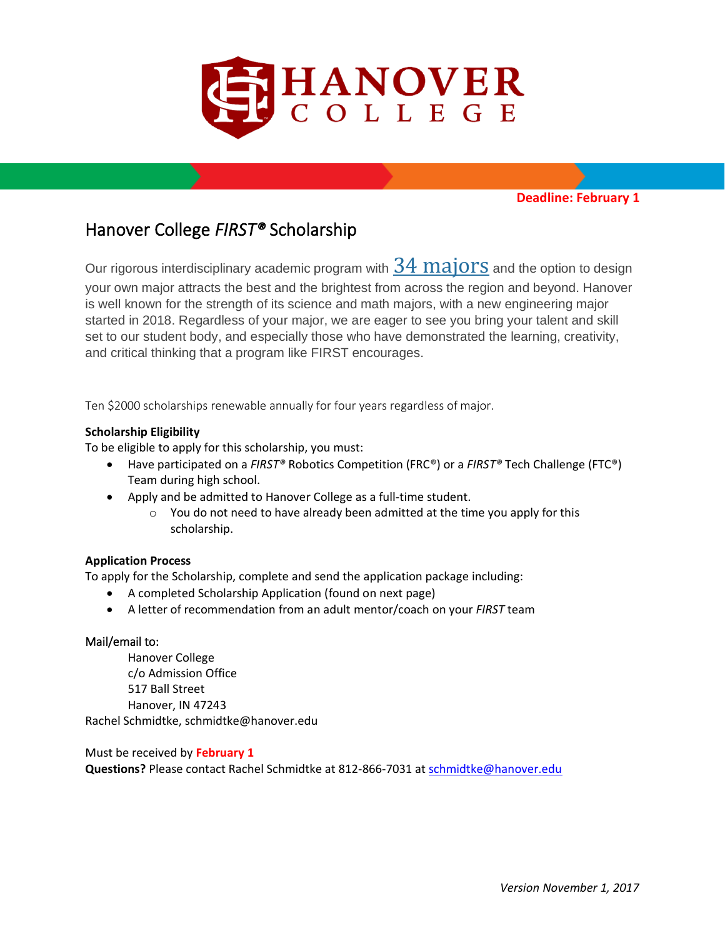

**Deadline: February 1**

# Hanover College *FIRST®* Scholarship

Our rigorous interdisciplinary academic program with  $34$   $majors$  and the option to design your own major attracts the best and the brightest from across the region and beyond. Hanover is well known for the strength of its science and math majors, with a new engineering major started in 2018. Regardless of your major, we are eager to see you bring your talent and skill set to our student body, and especially those who have demonstrated the learning, creativity, and critical thinking that a program like FIRST encourages.

Ten \$2000 scholarships renewable annually for four years regardless of major.

## **Scholarship Eligibility**

To be eligible to apply for this scholarship, you must:

- Have participated on a *FIRST®* Robotics Competition (FRC®) or a *FIRST®* Tech Challenge (FTC®) Team during high school.
- Apply and be admitted to Hanover College as a full-time student.
	- $\circ$  You do not need to have already been admitted at the time you apply for this scholarship.

#### **Application Process**

To apply for the Scholarship, complete and send the application package including:

- A completed Scholarship Application (found on next page)
- A letter of recommendation from an adult mentor/coach on your *FIRST* team

#### Mail/email to:

Hanover College c/o Admission Office 517 Ball Street Hanover, IN 47243 Rachel Schmidtke, schmidtke@hanover.edu

Must be received by **February 1 Questions?** Please contact Rachel Schmidtke at 812-866-7031 at [schmidtke@hanover.edu](mailto:schmidtke@hanover.edu)